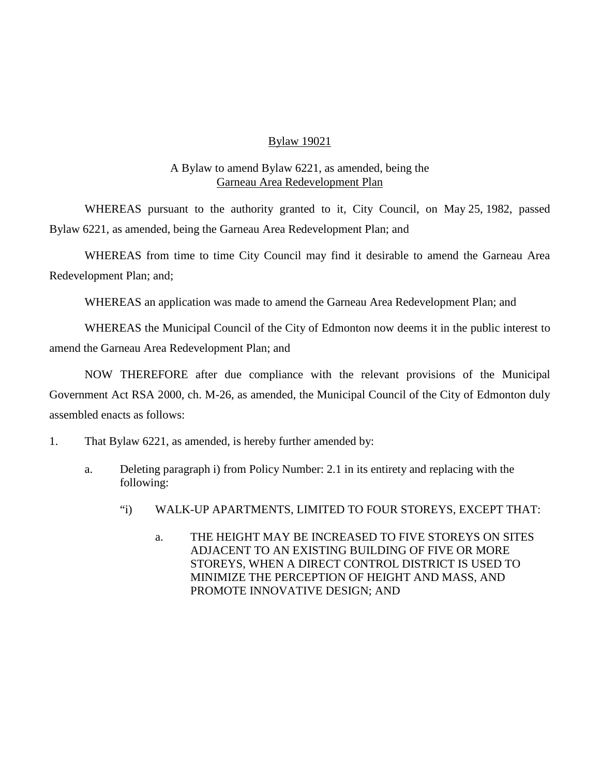## Bylaw 19021

## A Bylaw to amend Bylaw 6221, as amended, being the Garneau Area Redevelopment Plan

WHEREAS pursuant to the authority granted to it, City Council, on May 25, 1982, passed Bylaw 6221, as amended, being the Garneau Area Redevelopment Plan; and

WHEREAS from time to time City Council may find it desirable to amend the Garneau Area Redevelopment Plan; and;

WHEREAS an application was made to amend the Garneau Area Redevelopment Plan; and

WHEREAS the Municipal Council of the City of Edmonton now deems it in the public interest to amend the Garneau Area Redevelopment Plan; and

NOW THEREFORE after due compliance with the relevant provisions of the Municipal Government Act RSA 2000, ch. M-26, as amended, the Municipal Council of the City of Edmonton duly assembled enacts as follows:

- 1. That Bylaw 6221, as amended, is hereby further amended by:
	- a. Deleting paragraph i) from Policy Number: 2.1 in its entirety and replacing with the following:
		- "i) WALK-UP APARTMENTS, LIMITED TO FOUR STOREYS, EXCEPT THAT:
			- a. THE HEIGHT MAY BE INCREASED TO FIVE STOREYS ON SITES ADJACENT TO AN EXISTING BUILDING OF FIVE OR MORE STOREYS, WHEN A DIRECT CONTROL DISTRICT IS USED TO MINIMIZE THE PERCEPTION OF HEIGHT AND MASS, AND PROMOTE INNOVATIVE DESIGN; AND